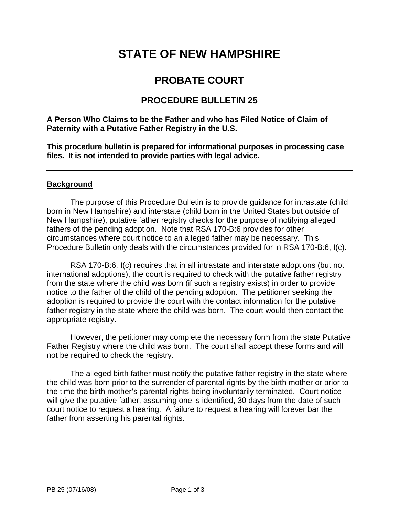# **STATE OF NEW HAMPSHIRE**

## **PROBATE COURT**

### **PROCEDURE BULLETIN 25**

**A Person Who Claims to be the Father and who has Filed Notice of Claim of Paternity with a Putative Father Registry in the U.S.** 

**This procedure bulletin is prepared for informational purposes in processing case files. It is not intended to provide parties with legal advice.** 

#### **Background**

The purpose of this Procedure Bulletin is to provide guidance for intrastate (child born in New Hampshire) and interstate (child born in the United States but outside of New Hampshire), putative father registry checks for the purpose of notifying alleged fathers of the pending adoption. Note that RSA 170-B:6 provides for other circumstances where court notice to an alleged father may be necessary. This Procedure Bulletin only deals with the circumstances provided for in RSA 170-B:6, I(c).

 RSA 170-B:6, I(c) requires that in all intrastate and interstate adoptions (but not international adoptions), the court is required to check with the putative father registry from the state where the child was born (if such a registry exists) in order to provide notice to the father of the child of the pending adoption. The petitioner seeking the adoption is required to provide the court with the contact information for the putative father registry in the state where the child was born. The court would then contact the appropriate registry.

 However, the petitioner may complete the necessary form from the state Putative Father Registry where the child was born. The court shall accept these forms and will not be required to check the registry.

 The alleged birth father must notify the putative father registry in the state where the child was born prior to the surrender of parental rights by the birth mother or prior to the time the birth mother's parental rights being involuntarily terminated. Court notice will give the putative father, assuming one is identified, 30 days from the date of such court notice to request a hearing. A failure to request a hearing will forever bar the father from asserting his parental rights.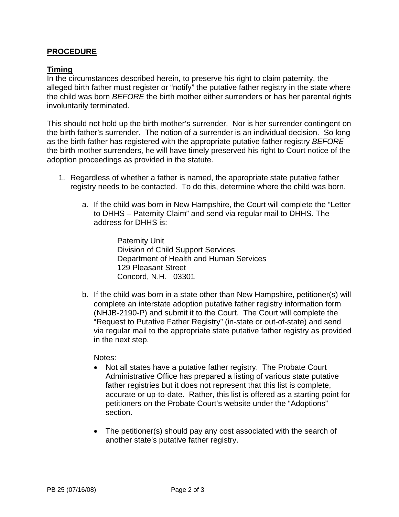#### **PROCEDURE**

#### **Timing**

In the circumstances described herein, to preserve his right to claim paternity, the alleged birth father must register or "notify" the putative father registry in the state where the child was born *BEFORE* the birth mother either surrenders or has her parental rights involuntarily terminated.

This should not hold up the birth mother's surrender. Nor is her surrender contingent on the birth father's surrender. The notion of a surrender is an individual decision. So long as the birth father has registered with the appropriate putative father registry *BEFORE* the birth mother surrenders, he will have timely preserved his right to Court notice of the adoption proceedings as provided in the statute.

- 1. Regardless of whether a father is named, the appropriate state putative father registry needs to be contacted. To do this, determine where the child was born.
	- a. If the child was born in New Hampshire, the Court will complete the "Letter to DHHS – Paternity Claim" and send via regular mail to DHHS. The address for DHHS is:

Paternity Unit Division of Child Support Services Department of Health and Human Services 129 Pleasant Street Concord, N.H. 03301

b. If the child was born in a state other than New Hampshire, petitioner(s) will complete an interstate adoption putative father registry information form (NHJB-2190-P) and submit it to the Court. The Court will complete the "Request to Putative Father Registry" (in-state or out-of-state) and send via regular mail to the appropriate state putative father registry as provided in the next step.

Notes:

- Not all states have a putative father registry. The Probate Court Administrative Office has prepared a listing of various state putative father registries but it does not represent that this list is complete, accurate or up-to-date. Rather, this list is offered as a starting point for petitioners on the Probate Court's website under the "Adoptions" section.
- The petitioner(s) should pay any cost associated with the search of another state's putative father registry.